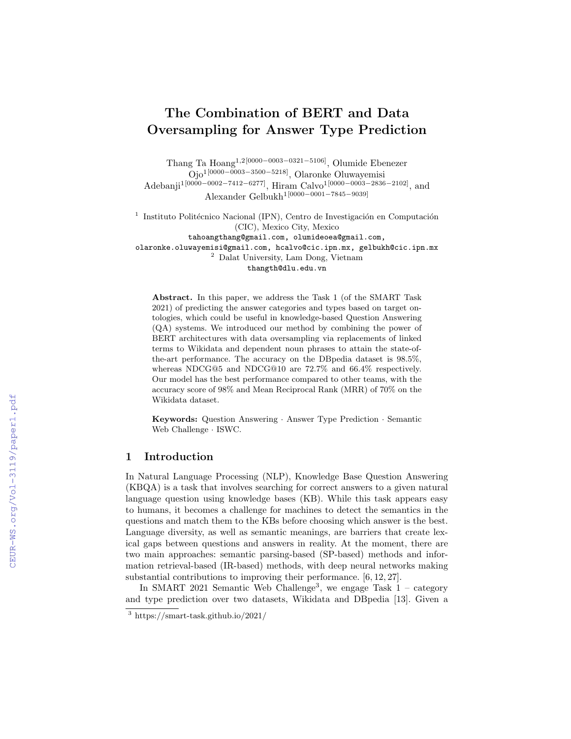# The Combination of BERT and Data Oversampling for Answer Type Prediction

Thang Ta Hoang1,2[0000−0003−0321−5106], Olumide Ebenezer Ojo1[0000−0003−3500−5218], Olaronke Oluwayemisi Adebanji1[0000−0002−7412−6277], Hiram Calvo1[0000−0003−2836−2102], and Alexander Gelbukh1[0000−0001−7845−9039]

<sup>1</sup> Instituto Politécnico Nacional (IPN), Centro de Investigación en Computación (CIC), Mexico City, Mexico

tahoangthang@gmail.com, olumideoea@gmail.com, olaronke.oluwayemisi@gmail.com, hcalvo@cic.ipn.mx, gelbukh@cic.ipn.mx

<sup>2</sup> Dalat University, Lam Dong, Vietnam thangth@dlu.edu.vn

Abstract. In this paper, we address the Task 1 (of the SMART Task 2021) of predicting the answer categories and types based on target ontologies, which could be useful in knowledge-based Question Answering (QA) systems. We introduced our method by combining the power of BERT architectures with data oversampling via replacements of linked terms to Wikidata and dependent noun phrases to attain the state-ofthe-art performance. The accuracy on the DBpedia dataset is 98.5%, whereas NDCG@5 and NDCG@10 are 72.7% and 66.4% respectively. Our model has the best performance compared to other teams, with the accuracy score of 98% and Mean Reciprocal Rank (MRR) of 70% on the Wikidata dataset.

Keywords: Question Answering · Answer Type Prediction · Semantic Web Challenge · ISWC.

### 1 Introduction

In Natural Language Processing (NLP), Knowledge Base Question Answering (KBQA) is a task that involves searching for correct answers to a given natural language question using knowledge bases (KB). While this task appears easy to humans, it becomes a challenge for machines to detect the semantics in the questions and match them to the KBs before choosing which answer is the best. Language diversity, as well as semantic meanings, are barriers that create lexical gaps between questions and answers in reality. At the moment, there are two main approaches: semantic parsing-based (SP-based) methods and information retrieval-based (IR-based) methods, with deep neural networks making substantial contributions to improving their performance. [6, 12, 27].

In SMART 2021 Semantic Web Challenge<sup>3</sup>, we engage Task  $1 - \text{category}$ and type prediction over two datasets, Wikidata and DBpedia [13]. Given a

<sup>3</sup> https://smart-task.github.io/2021/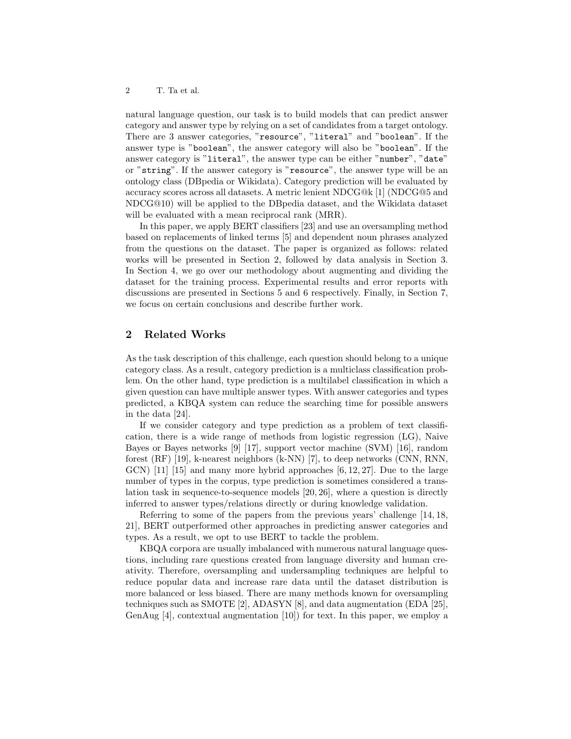natural language question, our task is to build models that can predict answer category and answer type by relying on a set of candidates from a target ontology. There are 3 answer categories, "resource", "literal" and "boolean". If the answer type is "boolean", the answer category will also be "boolean". If the answer category is "literal", the answer type can be either "number", "date" or "string". If the answer category is "resource", the answer type will be an ontology class (DBpedia or Wikidata). Category prediction will be evaluated by accuracy scores across all datasets. A metric lenient NDCG@k [1] (NDCG@5 and NDCG@10) will be applied to the DBpedia dataset, and the Wikidata dataset will be evaluated with a mean reciprocal rank (MRR).

In this paper, we apply BERT classifiers [23] and use an oversampling method based on replacements of linked terms [5] and dependent noun phrases analyzed from the questions on the dataset. The paper is organized as follows: related works will be presented in Section 2, followed by data analysis in Section 3. In Section 4, we go over our methodology about augmenting and dividing the dataset for the training process. Experimental results and error reports with discussions are presented in Sections 5 and 6 respectively. Finally, in Section 7, we focus on certain conclusions and describe further work.

## 2 Related Works

As the task description of this challenge, each question should belong to a unique category class. As a result, category prediction is a multiclass classification problem. On the other hand, type prediction is a multilabel classification in which a given question can have multiple answer types. With answer categories and types predicted, a KBQA system can reduce the searching time for possible answers in the data [24].

If we consider category and type prediction as a problem of text classification, there is a wide range of methods from logistic regression (LG), Naive Bayes or Bayes networks [9] [17], support vector machine (SVM) [16], random forest (RF) [19], k-nearest neighbors (k-NN) [7], to deep networks (CNN, RNN,  $GCN$  [11] [15] and many more hybrid approaches [6, 12, 27]. Due to the large number of types in the corpus, type prediction is sometimes considered a translation task in sequence-to-sequence models [20, 26], where a question is directly inferred to answer types/relations directly or during knowledge validation.

Referring to some of the papers from the previous years' challenge [14, 18, 21], BERT outperformed other approaches in predicting answer categories and types. As a result, we opt to use BERT to tackle the problem.

KBQA corpora are usually imbalanced with numerous natural language questions, including rare questions created from language diversity and human creativity. Therefore, oversampling and undersampling techniques are helpful to reduce popular data and increase rare data until the dataset distribution is more balanced or less biased. There are many methods known for oversampling techniques such as SMOTE [2], ADASYN [8], and data augmentation (EDA [25], GenAug [4], contextual augmentation [10]) for text. In this paper, we employ a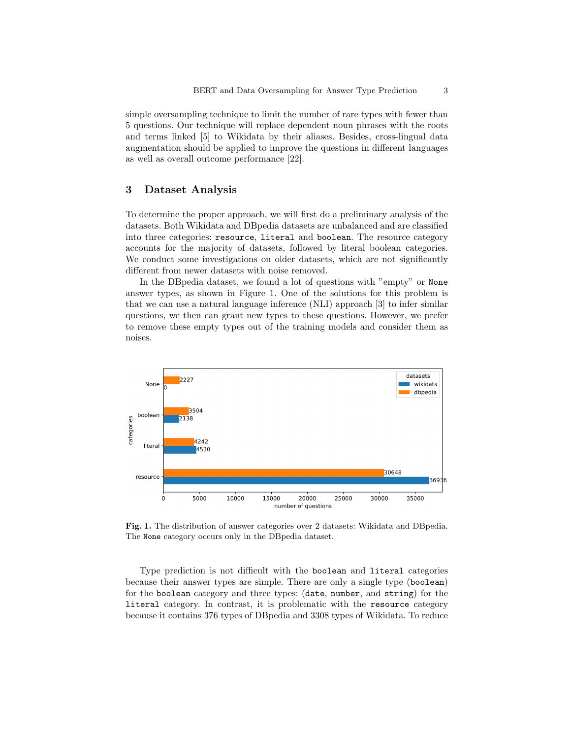simple oversampling technique to limit the number of rare types with fewer than 5 questions. Our technique will replace dependent noun phrases with the roots and terms linked [5] to Wikidata by their aliases. Besides, cross-lingual data augmentation should be applied to improve the questions in different languages as well as overall outcome performance [22].

## 3 Dataset Analysis

To determine the proper approach, we will first do a preliminary analysis of the datasets. Both Wikidata and DBpedia datasets are unbalanced and are classified into three categories: resource, literal and boolean. The resource category accounts for the majority of datasets, followed by literal boolean categories. We conduct some investigations on older datasets, which are not significantly different from newer datasets with noise removed.

In the DBpedia dataset, we found a lot of questions with "empty" or None answer types, as shown in Figure 1. One of the solutions for this problem is that we can use a natural language inference (NLI) approach [3] to infer similar questions, we then can grant new types to these questions. However, we prefer to remove these empty types out of the training models and consider them as noises.



Fig. 1. The distribution of answer categories over 2 datasets: Wikidata and DBpedia. The None category occurs only in the DBpedia dataset.

Type prediction is not difficult with the boolean and literal categories because their answer types are simple. There are only a single type (boolean) for the boolean category and three types: (date, number, and string) for the literal category. In contrast, it is problematic with the resource category because it contains 376 types of DBpedia and 3308 types of Wikidata. To reduce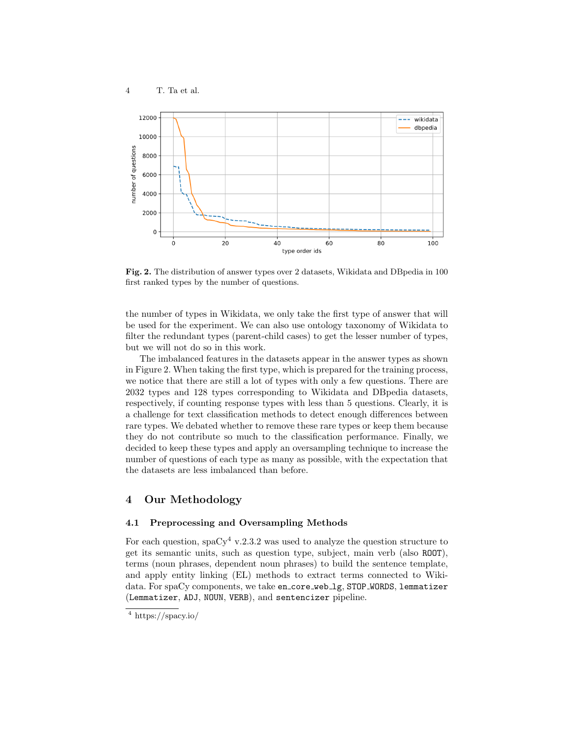

Fig. 2. The distribution of answer types over 2 datasets, Wikidata and DBpedia in 100 first ranked types by the number of questions.

the number of types in Wikidata, we only take the first type of answer that will be used for the experiment. We can also use ontology taxonomy of Wikidata to filter the redundant types (parent-child cases) to get the lesser number of types, but we will not do so in this work.

The imbalanced features in the datasets appear in the answer types as shown in Figure 2. When taking the first type, which is prepared for the training process, we notice that there are still a lot of types with only a few questions. There are 2032 types and 128 types corresponding to Wikidata and DBpedia datasets, respectively, if counting response types with less than 5 questions. Clearly, it is a challenge for text classification methods to detect enough differences between rare types. We debated whether to remove these rare types or keep them because they do not contribute so much to the classification performance. Finally, we decided to keep these types and apply an oversampling technique to increase the number of questions of each type as many as possible, with the expectation that the datasets are less imbalanced than before.

#### 4 Our Methodology

#### 4.1 Preprocessing and Oversampling Methods

For each question, spaCy<sup>4</sup> v.2.3.2 was used to analyze the question structure to get its semantic units, such as question type, subject, main verb (also ROOT), terms (noun phrases, dependent noun phrases) to build the sentence template, and apply entity linking (EL) methods to extract terms connected to Wikidata. For spaCy components, we take en\_core\_web\_1g, STOP\_WORDS, lemmatizer (Lemmatizer, ADJ, NOUN, VERB), and sentencizer pipeline.

 $\frac{4}{4}$  https://spacy.io/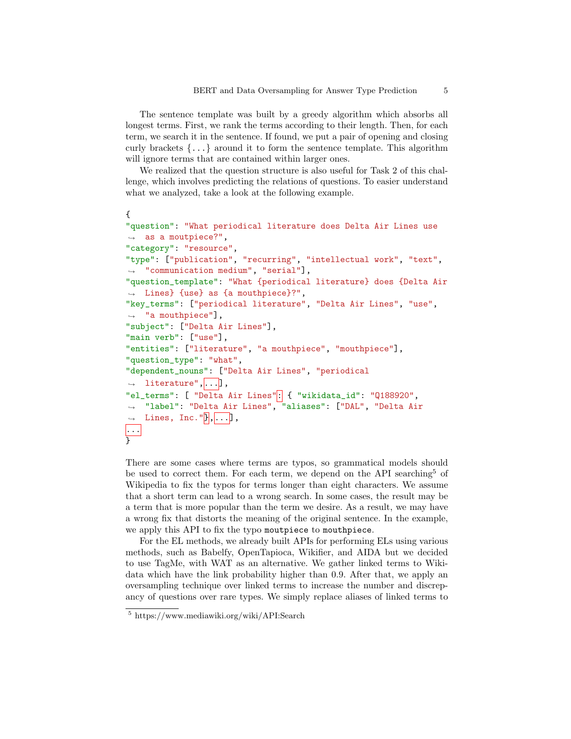The sentence template was built by a greedy algorithm which absorbs all longest terms. First, we rank the terms according to their length. Then, for each term, we search it in the sentence. If found, we put a pair of opening and closing curly brackets  $\{\ldots\}$  around it to form the sentence template. This algorithm will ignore terms that are contained within larger ones.

We realized that the question structure is also useful for Task 2 of this challenge, which involves predicting the relations of questions. To easier understand what we analyzed, take a look at the following example.

```
{
"question": "What periodical literature does Delta Air Lines use
\rightarrow as a moutpiece?",
"category": "resource",
"type": ["publication", "recurring", "intellectual work", "text",
,→ "communication medium", "serial"],
"question_template": "What {periodical literature} does {Delta Air
,→ Lines} {use} as {a mouthpiece}?",
"key_terms": ["periodical literature", "Delta Air Lines", "use",
\rightarrow "a mouthpiece"],
"subject": ["Delta Air Lines"],
"main verb": ["use"],
"entities": ["literature", "a mouthpiece", "mouthpiece"],
"question_type": "what",
"dependent_nouns": ["Delta Air Lines", "periodical
\rightarrow literature",...],
"el_terms": [ "Delta Air Lines": { "wikidata_id": "Q188920",
→ "label": "Delta Air Lines", "aliases": ["DAL", "Delta Air
\rightarrow Lines, Inc."\vert \vert, \vert \ldots \vert \vert,
...
}
```
There are some cases where terms are typos, so grammatical models should be used to correct them. For each term, we depend on the API searching<sup>5</sup> of Wikipedia to fix the typos for terms longer than eight characters. We assume that a short term can lead to a wrong search. In some cases, the result may be a term that is more popular than the term we desire. As a result, we may have a wrong fix that distorts the meaning of the original sentence. In the example, we apply this API to fix the typo moutpiece to mouthpiece.

For the EL methods, we already built APIs for performing ELs using various methods, such as Babelfy, OpenTapioca, Wikifier, and AIDA but we decided to use TagMe, with WAT as an alternative. We gather linked terms to Wikidata which have the link probability higher than 0.9. After that, we apply an oversampling technique over linked terms to increase the number and discrepancy of questions over rare types. We simply replace aliases of linked terms to

<sup>5</sup> https://www.mediawiki.org/wiki/API:Search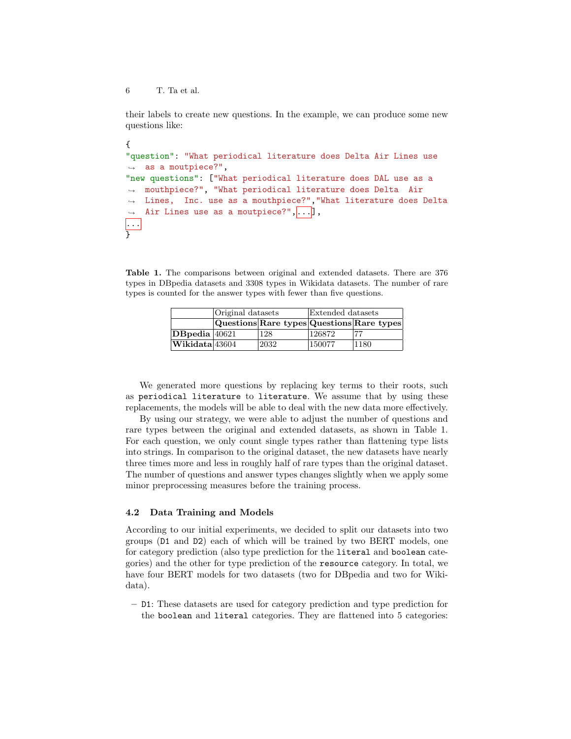6 T. Ta et al.

their labels to create new questions. In the example, we can produce some new questions like:

```
{
"question": "What periodical literature does Delta Air Lines use
\rightarrow as a moutpiece?",
"new questions": ["What periodical literature does DAL use as a
   mouthpiece?", "What periodical literature does Delta Air
   Lines, Inc. use as a mouthpiece?","What literature does Delta
    Air Lines use as a moutpiece?",...],
\rightarrow\hookrightarrow\hookrightarrow...
\overline{ }
```
Table 1. The comparisons between original and extended datasets. There are 376 types in DBpedia datasets and 3308 types in Wikidata datasets. The number of rare types is counted for the answer types with fewer than five questions.

|                                       | Original datasets |      | Extended datasets |                                           |
|---------------------------------------|-------------------|------|-------------------|-------------------------------------------|
|                                       |                   |      |                   | Questions Rare types Questions Rare types |
| $ DB$ pedia $ 40621$                  |                   | 128  | 126872            | 77                                        |
| $ \mathbf{W}$ ikidata $ 43604\rangle$ |                   | 2032 | 150077            | 1180                                      |

We generated more questions by replacing key terms to their roots, such as periodical literature to literature. We assume that by using these replacements, the models will be able to deal with the new data more effectively.

By using our strategy, we were able to adjust the number of questions and rare types between the original and extended datasets, as shown in Table 1. For each question, we only count single types rather than flattening type lists into strings. In comparison to the original dataset, the new datasets have nearly three times more and less in roughly half of rare types than the original dataset. The number of questions and answer types changes slightly when we apply some minor preprocessing measures before the training process.

#### 4.2 Data Training and Models

According to our initial experiments, we decided to split our datasets into two groups (D1 and D2) each of which will be trained by two BERT models, one for category prediction (also type prediction for the literal and boolean categories) and the other for type prediction of the resource category. In total, we have four BERT models for two datasets (two for DBpedia and two for Wikidata).

– D1: These datasets are used for category prediction and type prediction for the boolean and literal categories. They are flattened into 5 categories: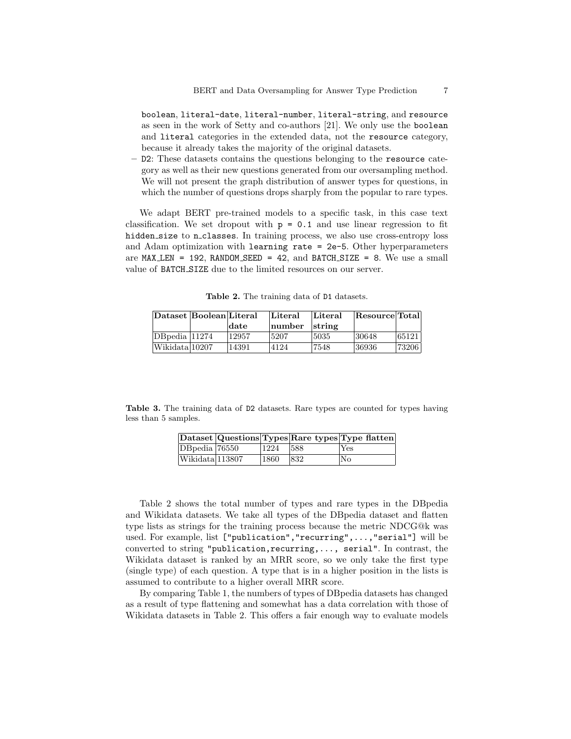boolean, literal-date, literal-number, literal-string, and resource as seen in the work of Setty and co-authors [21]. We only use the boolean and literal categories in the extended data, not the resource category, because it already takes the majority of the original datasets.

– D2: These datasets contains the questions belonging to the resource category as well as their new questions generated from our oversampling method. We will not present the graph distribution of answer types for questions, in which the number of questions drops sharply from the popular to rare types.

We adapt BERT pre-trained models to a specific task, in this case text classification. We set dropout with  $p = 0.1$  and use linear regression to fit hidden size to n\_classes. In training process, we also use cross-entropy loss and Adam optimization with learning rate = 2e-5. Other hyperparameters are  $MAX$  LEN = 192, RANDOM SEED = 42, and BATCH SIZE = 8. We use a small value of BATCH SIZE due to the limited resources on our server.

Table 2. The training data of D1 datasets.

| Dataset Boolean Literal |       | Literal | Literal        | Resource Total |       |
|-------------------------|-------|---------|----------------|----------------|-------|
|                         | date  | number  | $\vert$ string |                |       |
| $DBpedia$ 11274         | 12957 | 5207    | 15035          | 30648          | 65121 |
| Wikidata 10207          | 14391 | 4124    | 7548           | 36936          | 73206 |

Table 3. The training data of D2 datasets. Rare types are counted for types having less than 5 samples.

|                 |      |      | Dataset Questions Types Rare types Type flatten |
|-----------------|------|------|-------------------------------------------------|
| DB pedia 76550  | 1224 | 1588 | Yes                                             |
| Wikidata 113807 | 1860 | 832  | No                                              |

Table 2 shows the total number of types and rare types in the DBpedia and Wikidata datasets. We take all types of the DBpedia dataset and flatten type lists as strings for the training process because the metric NDCG@k was used. For example, list ["publication","recurring",...,"serial"] will be converted to string "publication,recurring,..., serial". In contrast, the Wikidata dataset is ranked by an MRR score, so we only take the first type (single type) of each question. A type that is in a higher position in the lists is assumed to contribute to a higher overall MRR score.

By comparing Table 1, the numbers of types of DBpedia datasets has changed as a result of type flattening and somewhat has a data correlation with those of Wikidata datasets in Table 2. This offers a fair enough way to evaluate models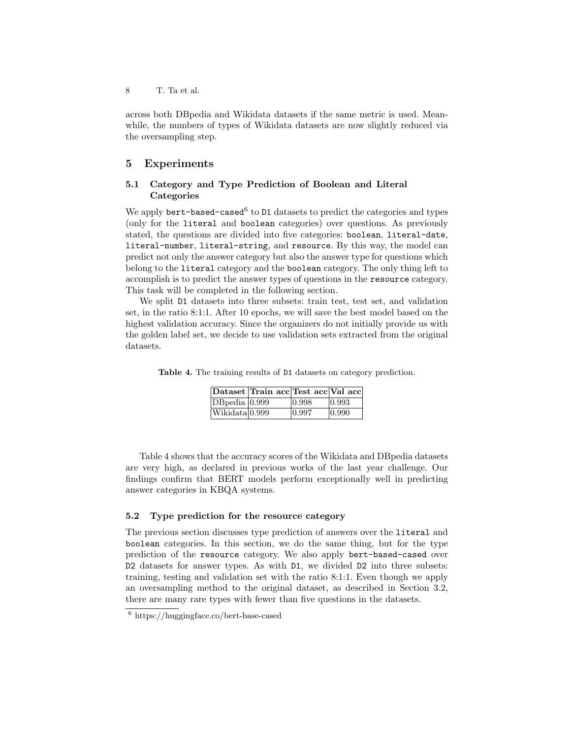across both DBpedia and Wikidata datasets if the same metric is used. Meanwhile, the numbers of types of Wikidata datasets are now slightly reduced via the oversampling step.

## 5 Experiments

#### 5.1 Category and Type Prediction of Boolean and Literal **Categories**

We apply bert-based-cased<sup>6</sup> to D1 datasets to predict the categories and types (only for the literal and boolean categories) over questions. As previously stated, the questions are divided into five categories: boolean, literal-date, literal-number, literal-string, and resource. By this way, the model can predict not only the answer category but also the answer type for questions which belong to the literal category and the boolean category. The only thing left to accomplish is to predict the answer types of questions in the resource category. This task will be completed in the following section.

We split  $D1$  datasets into three subsets: train test, test set, and validation set, in the ratio 8:1:1. After 10 epochs, we will save the best model based on the highest validation accuracy. Since the organizers do not initially provide us with the golden label set, we decide to use validation sets extracted from the original datasets.

Table 4. The training results of D1 datasets on category prediction.

|                             | Dataset Train acc Test acc Val acc |       |                 |
|-----------------------------|------------------------------------|-------|-----------------|
| DBpedia 0.999               |                                    | 0.998 | 0.993           |
| Wikidata <sup>[0.999]</sup> |                                    | 0.997 | $ 0.990\rangle$ |

Table 4 shows that the accuracy scores of the Wikidata and DBpedia datasets are very high, as declared in previous works of the last year challenge. Our findings confirm that BERT models perform exceptionally well in predicting answer categories in KBQA systems.

#### 5.2 Type prediction for the resource category

The previous section discusses type prediction of answers over the literal and boolean categories. In this section, we do the same thing, but for the type prediction of the resource category. We also apply bert-based-cased over D2 datasets for answer types. As with D1, we divided D2 into three subsets: training, testing and validation set with the ratio 8:1:1. Even though we apply an oversampling method to the original dataset, as described in Section 3.2, there are many rare types with fewer than five questions in the datasets.

<sup>6</sup> https://huggingface.co/bert-base-cased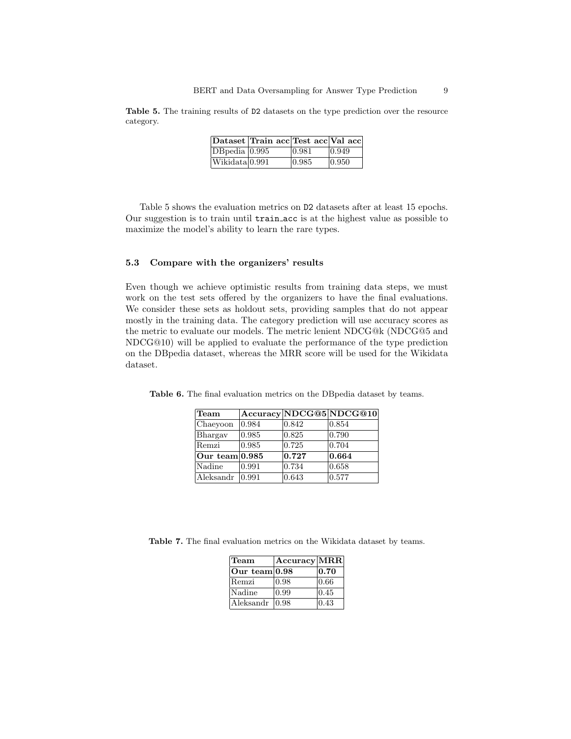Table 5. The training results of D2 datasets on the type prediction over the resource category.

|                | Dataset  Train acc Test acc Val acc |       |                 |
|----------------|-------------------------------------|-------|-----------------|
| DBpedia 0.995  |                                     | 0.981 | $ 0.949\rangle$ |
| Wikidata 0.991 |                                     | 0.985 | 0.950           |

Table 5 shows the evaluation metrics on D2 datasets after at least 15 epochs. Our suggestion is to train until train acc is at the highest value as possible to maximize the model's ability to learn the rare types.

#### 5.3 Compare with the organizers' results

Even though we achieve optimistic results from training data steps, we must work on the test sets offered by the organizers to have the final evaluations. We consider these sets as holdout sets, providing samples that do not appear mostly in the training data. The category prediction will use accuracy scores as the metric to evaluate our models. The metric lenient NDCG@k (NDCG@5 and NDCG@10) will be applied to evaluate the performance of the type prediction on the DBpedia dataset, whereas the MRR score will be used for the Wikidata dataset.

| <b>Team</b>      |       |       | Accuracy NDCG@5 NDCG@10 |
|------------------|-------|-------|-------------------------|
| Chaeyoon         | 0.984 | 0.842 | 0.854                   |
| Bhargay          | 0.985 | 0.825 | 0.790                   |
| Remzi            | 0.985 | 0.725 | 0.704                   |
| Our team $0.985$ |       | 0.727 | 0.664                   |
| Nadine           | 0.991 | 0.734 | 0.658                   |
| Aleksandr        | 0.991 | 0.643 | 0.577                   |

Table 6. The final evaluation metrics on the DBpedia dataset by teams.

Table 7. The final evaluation metrics on the Wikidata dataset by teams.

| Team            | $ {\rm Accuracy} {\rm MRR} $ |      |
|-----------------|------------------------------|------|
| Our team $0.98$ |                              | 0.70 |
| Remzi           | 0.98                         | 0.66 |
| Nadine          | 0.99                         | 0.45 |
| Aleksandr       | 0.98                         | 0.43 |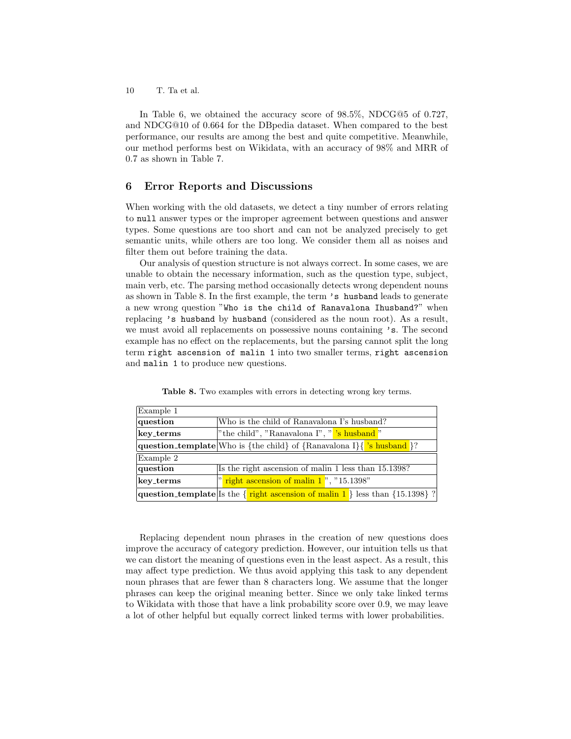10 T. Ta et al.

In Table 6, we obtained the accuracy score of 98.5%, NDCG@5 of 0.727, and NDCG@10 of 0.664 for the DBpedia dataset. When compared to the best performance, our results are among the best and quite competitive. Meanwhile, our method performs best on Wikidata, with an accuracy of 98% and MRR of 0.7 as shown in Table 7.

#### 6 Error Reports and Discussions

When working with the old datasets, we detect a tiny number of errors relating to null answer types or the improper agreement between questions and answer types. Some questions are too short and can not be analyzed precisely to get semantic units, while others are too long. We consider them all as noises and filter them out before training the data.

Our analysis of question structure is not always correct. In some cases, we are unable to obtain the necessary information, such as the question type, subject, main verb, etc. The parsing method occasionally detects wrong dependent nouns as shown in Table 8. In the first example, the term 's husband leads to generate a new wrong question "Who is the child of Ranavalona Ihusband?" when replacing 's husband by husband (considered as the noun root). As a result, we must avoid all replacements on possessive nouns containing 's. The second example has no effect on the replacements, but the parsing cannot split the long term right ascension of malin 1 into two smaller terms, right ascension and malin 1 to produce new questions.

| Example 1 |                                                                                         |  |  |
|-----------|-----------------------------------------------------------------------------------------|--|--|
| question  | Who is the child of Ranavalona I's husband?                                             |  |  |
| key_terms | "the child", "Ranavalona I", " <mark>s husband"</mark>                                  |  |  |
|           | question_template Who is {the child} of {Ranavalona I}{'s husband }?                    |  |  |
| Example 2 |                                                                                         |  |  |
| question  | Is the right ascension of malin 1 less than 15.1398?                                    |  |  |
| key_terms | " right ascension of malin 1", "15.1398"                                                |  |  |
|           | question_template Is the $\{$ right ascension of malin 1 $\}$ less than $\{15.1398\}$ ? |  |  |

Table 8. Two examples with errors in detecting wrong key terms.

Replacing dependent noun phrases in the creation of new questions does improve the accuracy of category prediction. However, our intuition tells us that we can distort the meaning of questions even in the least aspect. As a result, this may affect type prediction. We thus avoid applying this task to any dependent noun phrases that are fewer than 8 characters long. We assume that the longer phrases can keep the original meaning better. Since we only take linked terms to Wikidata with those that have a link probability score over 0.9, we may leave a lot of other helpful but equally correct linked terms with lower probabilities.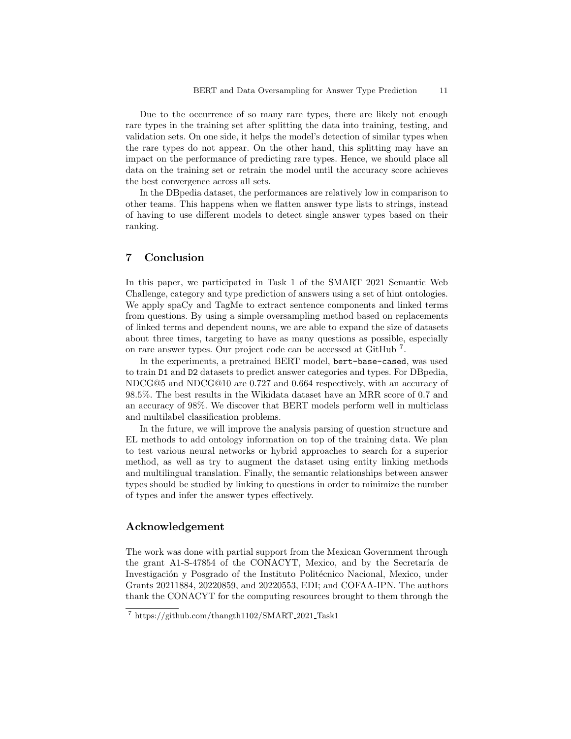Due to the occurrence of so many rare types, there are likely not enough rare types in the training set after splitting the data into training, testing, and validation sets. On one side, it helps the model's detection of similar types when the rare types do not appear. On the other hand, this splitting may have an impact on the performance of predicting rare types. Hence, we should place all data on the training set or retrain the model until the accuracy score achieves the best convergence across all sets.

In the DBpedia dataset, the performances are relatively low in comparison to other teams. This happens when we flatten answer type lists to strings, instead of having to use different models to detect single answer types based on their ranking.

# 7 Conclusion

In this paper, we participated in Task 1 of the SMART 2021 Semantic Web Challenge, category and type prediction of answers using a set of hint ontologies. We apply spaCy and TagMe to extract sentence components and linked terms from questions. By using a simple oversampling method based on replacements of linked terms and dependent nouns, we are able to expand the size of datasets about three times, targeting to have as many questions as possible, especially on rare answer types. Our project code can be accessed at GitHub<sup>7</sup>.

In the experiments, a pretrained BERT model, bert-base-cased, was used to train D1 and D2 datasets to predict answer categories and types. For DBpedia, NDCG@5 and NDCG@10 are 0.727 and 0.664 respectively, with an accuracy of 98.5%. The best results in the Wikidata dataset have an MRR score of 0.7 and an accuracy of 98%. We discover that BERT models perform well in multiclass and multilabel classification problems.

In the future, we will improve the analysis parsing of question structure and EL methods to add ontology information on top of the training data. We plan to test various neural networks or hybrid approaches to search for a superior method, as well as try to augment the dataset using entity linking methods and multilingual translation. Finally, the semantic relationships between answer types should be studied by linking to questions in order to minimize the number of types and infer the answer types effectively.

#### Acknowledgement

The work was done with partial support from the Mexican Government through the grant A1-S-47854 of the CONACYT, Mexico, and by the Secretaría de Investigación y Posgrado of the Instituto Politécnico Nacional, Mexico, under Grants 20211884, 20220859, and 20220553, EDI; and COFAA-IPN. The authors thank the CONACYT for the computing resources brought to them through the

<sup>7</sup> https://github.com/thangth1102/SMART 2021 Task1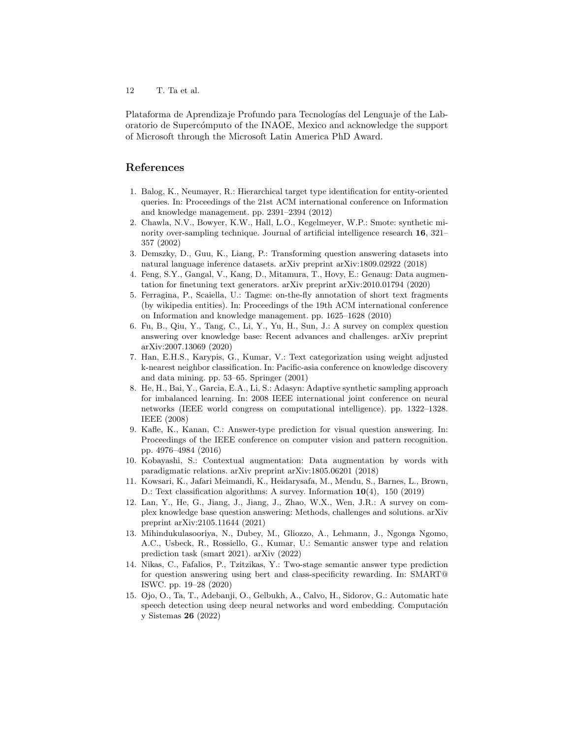12 T. Ta et al.

Plataforma de Aprendizaje Profundo para Tecnologías del Lenguaje of the Laboratorio de Superc´omputo of the INAOE, Mexico and acknowledge the support of Microsoft through the Microsoft Latin America PhD Award.

# References

- 1. Balog, K., Neumayer, R.: Hierarchical target type identification for entity-oriented queries. In: Proceedings of the 21st ACM international conference on Information and knowledge management. pp. 2391–2394 (2012)
- 2. Chawla, N.V., Bowyer, K.W., Hall, L.O., Kegelmeyer, W.P.: Smote: synthetic minority over-sampling technique. Journal of artificial intelligence research 16, 321– 357 (2002)
- 3. Demszky, D., Guu, K., Liang, P.: Transforming question answering datasets into natural language inference datasets. arXiv preprint arXiv:1809.02922 (2018)
- 4. Feng, S.Y., Gangal, V., Kang, D., Mitamura, T., Hovy, E.: Genaug: Data augmentation for finetuning text generators. arXiv preprint arXiv:2010.01794 (2020)
- 5. Ferragina, P., Scaiella, U.: Tagme: on-the-fly annotation of short text fragments (by wikipedia entities). In: Proceedings of the 19th ACM international conference on Information and knowledge management. pp. 1625–1628 (2010)
- 6. Fu, B., Qiu, Y., Tang, C., Li, Y., Yu, H., Sun, J.: A survey on complex question answering over knowledge base: Recent advances and challenges. arXiv preprint arXiv:2007.13069 (2020)
- 7. Han, E.H.S., Karypis, G., Kumar, V.: Text categorization using weight adjusted k-nearest neighbor classification. In: Pacific-asia conference on knowledge discovery and data mining. pp. 53–65. Springer (2001)
- 8. He, H., Bai, Y., Garcia, E.A., Li, S.: Adasyn: Adaptive synthetic sampling approach for imbalanced learning. In: 2008 IEEE international joint conference on neural networks (IEEE world congress on computational intelligence). pp. 1322–1328. IEEE (2008)
- 9. Kafle, K., Kanan, C.: Answer-type prediction for visual question answering. In: Proceedings of the IEEE conference on computer vision and pattern recognition. pp. 4976–4984 (2016)
- 10. Kobayashi, S.: Contextual augmentation: Data augmentation by words with paradigmatic relations. arXiv preprint arXiv:1805.06201 (2018)
- 11. Kowsari, K., Jafari Meimandi, K., Heidarysafa, M., Mendu, S., Barnes, L., Brown, D.: Text classification algorithms: A survey. Information 10(4), 150 (2019)
- 12. Lan, Y., He, G., Jiang, J., Jiang, J., Zhao, W.X., Wen, J.R.: A survey on complex knowledge base question answering: Methods, challenges and solutions. arXiv preprint arXiv:2105.11644 (2021)
- 13. Mihindukulasooriya, N., Dubey, M., Gliozzo, A., Lehmann, J., Ngonga Ngomo, A.C., Usbeck, R., Rossiello, G., Kumar, U.: Semantic answer type and relation prediction task (smart 2021). arXiv (2022)
- 14. Nikas, C., Fafalios, P., Tzitzikas, Y.: Two-stage semantic answer type prediction for question answering using bert and class-specificity rewarding. In: SMART@ ISWC. pp. 19–28 (2020)
- 15. Ojo, O., Ta, T., Adebanji, O., Gelbukh, A., Calvo, H., Sidorov, G.: Automatic hate speech detection using deep neural networks and word embedding. Computación y Sistemas 26 (2022)